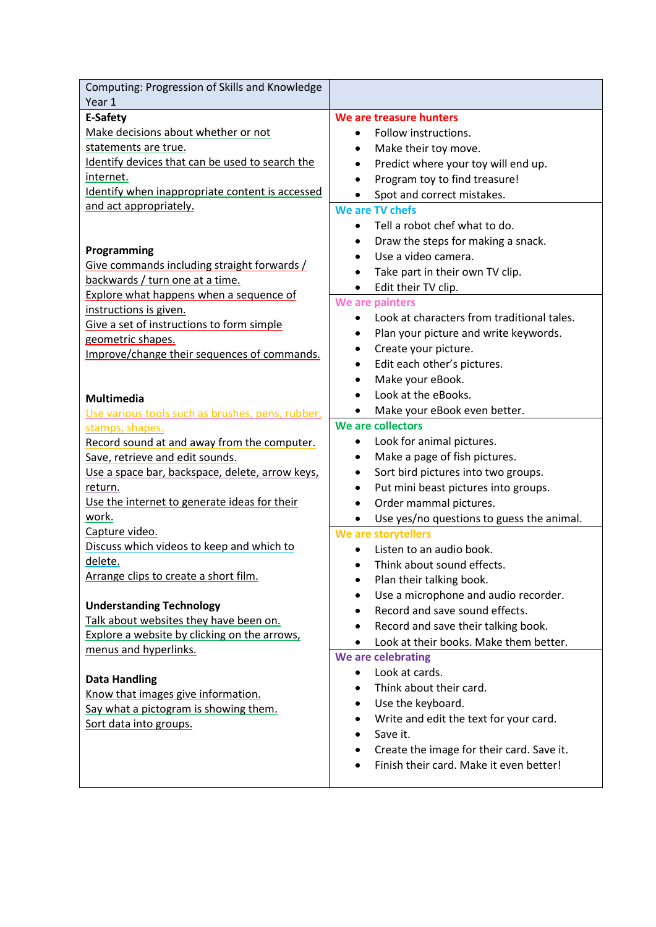| Computing: Progression of Skills and Knowledge                      |                                                        |
|---------------------------------------------------------------------|--------------------------------------------------------|
| Year 1                                                              |                                                        |
| E-Safety                                                            | We are treasure hunters                                |
| Make decisions about whether or not                                 | Follow instructions.                                   |
| statements are true.                                                | Make their toy move.<br>٠                              |
| Identify devices that can be used to search the                     | Predict where your toy will end up.<br>$\bullet$       |
| internet.                                                           | Program toy to find treasure!                          |
| Identify when inappropriate content is accessed                     | Spot and correct mistakes.                             |
| and act appropriately.                                              | We are TV chefs                                        |
|                                                                     | Tell a robot chef what to do.                          |
|                                                                     | Draw the steps for making a snack.                     |
| Programming                                                         | Use a video camera.                                    |
| Give commands including straight forwards /                         | Take part in their own TV clip.                        |
| backwards / turn one at a time.                                     | Edit their TV clip.<br>$\bullet$                       |
| Explore what happens when a sequence of                             | We are painters                                        |
| instructions is given.                                              | Look at characters from traditional tales.             |
| Give a set of instructions to form simple                           | Plan your picture and write keywords.                  |
| geometric shapes.                                                   | Create your picture.<br>٠                              |
| Improve/change their sequences of commands.                         | Edit each other's pictures.<br>٠                       |
|                                                                     | Make your eBook.                                       |
| <b>Multimedia</b>                                                   | Look at the eBooks.                                    |
|                                                                     | Make your eBook even better.                           |
| Use various tools such as brushes, pens, rubber,<br>stamps, shapes. | We are collectors                                      |
| Record sound at and away from the computer.                         | Look for animal pictures.                              |
| Save, retrieve and edit sounds.                                     | Make a page of fish pictures.<br>$\bullet$             |
| Use a space bar, backspace, delete, arrow keys,                     | Sort bird pictures into two groups.<br>٠               |
| return.                                                             | Put mini beast pictures into groups.                   |
| Use the internet to generate ideas for their                        | Order mammal pictures.                                 |
| work.                                                               | Use yes/no questions to guess the animal.<br>$\bullet$ |
| Capture video.                                                      | We are storytellers                                    |
| Discuss which videos to keep and which to                           | Listen to an audio book.                               |
| delete.                                                             | Think about sound effects.<br>$\bullet$                |
| Arrange clips to create a short film.                               |                                                        |
|                                                                     | Plan their talking book.                               |
| <b>Understanding Technology</b>                                     | Use a microphone and audio recorder.                   |
| Talk about websites they have been on.                              | Record and save sound effects.                         |
| Explore a website by clicking on the arrows,                        | Record and save their talking book.                    |
| menus and hyperlinks.                                               | Look at their books. Make them better.                 |
|                                                                     | We are celebrating                                     |
| <b>Data Handling</b>                                                | Look at cards.                                         |
| Know that images give information.                                  | Think about their card.                                |
| Say what a pictogram is showing them.                               | Use the keyboard.                                      |
| Sort data into groups.                                              | Write and edit the text for your card.                 |
|                                                                     | Save it.                                               |
|                                                                     | Create the image for their card. Save it.              |
|                                                                     | Finish their card. Make it even better!                |
|                                                                     |                                                        |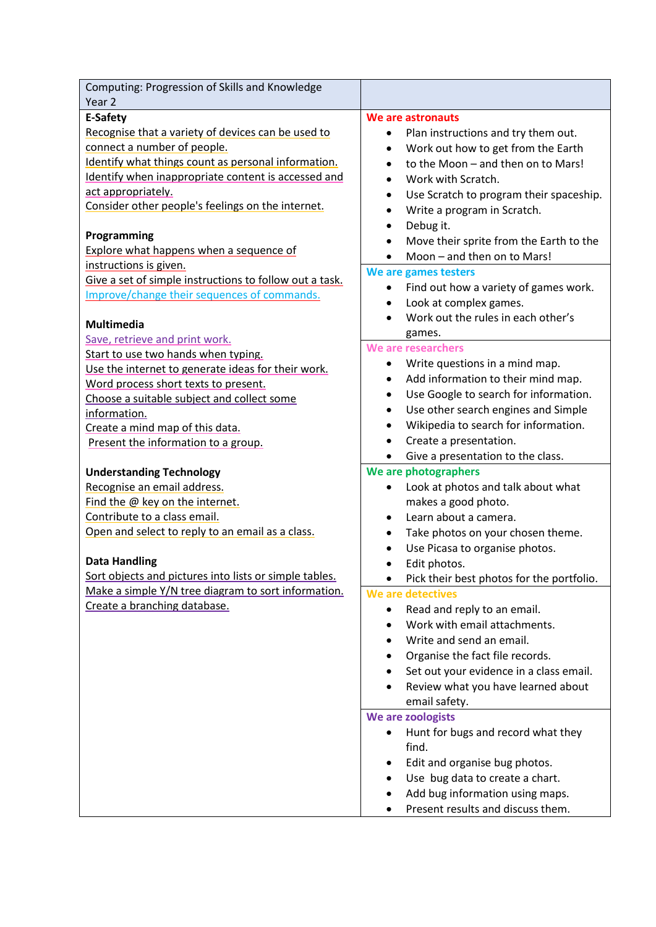| Computing: Progression of Skills and Knowledge<br>Year <sub>2</sub>                                                                                                                                                                                                                                                                                                                                                                                                                           |                                                                                                                                                                                                                                                                                                                                                                                                                                                                                                                                                |
|-----------------------------------------------------------------------------------------------------------------------------------------------------------------------------------------------------------------------------------------------------------------------------------------------------------------------------------------------------------------------------------------------------------------------------------------------------------------------------------------------|------------------------------------------------------------------------------------------------------------------------------------------------------------------------------------------------------------------------------------------------------------------------------------------------------------------------------------------------------------------------------------------------------------------------------------------------------------------------------------------------------------------------------------------------|
| E-Safety                                                                                                                                                                                                                                                                                                                                                                                                                                                                                      | We are astronauts                                                                                                                                                                                                                                                                                                                                                                                                                                                                                                                              |
| Recognise that a variety of devices can be used to<br>connect a number of people.<br>Identify what things count as personal information.<br>Identify when inappropriate content is accessed and<br>act appropriately.<br>Consider other people's feelings on the internet.<br>Programming<br>Explore what happens when a sequence of<br>instructions is given.<br>Give a set of simple instructions to follow out a task.<br>Improve/change their sequences of commands.<br><b>Multimedia</b> | Plan instructions and try them out.<br>٠<br>Work out how to get from the Earth<br>٠<br>to the Moon - and then on to Mars!<br>$\bullet$<br>Work with Scratch.<br>$\bullet$<br>Use Scratch to program their spaceship.<br>٠<br>Write a program in Scratch.<br>$\bullet$<br>Debug it.<br>٠<br>Move their sprite from the Earth to the<br>٠<br>Moon - and then on to Mars!<br>$\bullet$<br>We are games testers<br>Find out how a variety of games work.<br>$\bullet$<br>Look at complex games.<br>$\bullet$<br>Work out the rules in each other's |
| Save, retrieve and print work.                                                                                                                                                                                                                                                                                                                                                                                                                                                                | games.                                                                                                                                                                                                                                                                                                                                                                                                                                                                                                                                         |
| Start to use two hands when typing.<br>Use the internet to generate ideas for their work.<br>Word process short texts to present.<br>Choose a suitable subject and collect some<br>information.<br>Create a mind map of this data.<br>Present the information to a group.                                                                                                                                                                                                                     | We are researchers<br>Write questions in a mind map.<br>$\bullet$<br>Add information to their mind map.<br>٠<br>Use Google to search for information.<br>$\bullet$<br>Use other search engines and Simple<br>$\bullet$<br>Wikipedia to search for information.<br>٠<br>Create a presentation.<br>Give a presentation to the class.                                                                                                                                                                                                             |
| <b>Understanding Technology</b>                                                                                                                                                                                                                                                                                                                                                                                                                                                               | We are photographers                                                                                                                                                                                                                                                                                                                                                                                                                                                                                                                           |
| Recognise an email address.<br>Find the @ key on the internet.<br>Contribute to a class email.<br>Open and select to reply to an email as a class.<br><b>Data Handling</b><br>Sort objects and pictures into lists or simple tables.                                                                                                                                                                                                                                                          | Look at photos and talk about what<br>$\bullet$<br>makes a good photo.<br>Learn about a camera.<br>$\bullet$<br>Take photos on your chosen theme.<br>Use Picasa to organise photos.<br>$\bullet$<br>Edit photos.<br>$\bullet$<br>Pick their best photos for the portfolio.                                                                                                                                                                                                                                                                     |
| Make a simple Y/N tree diagram to sort information.<br>Create a branching database.                                                                                                                                                                                                                                                                                                                                                                                                           | We are detectives<br>Read and reply to an email.<br>٠<br>Work with email attachments.<br>$\bullet$<br>Write and send an email.<br>$\bullet$<br>Organise the fact file records.<br>Set out your evidence in a class email.<br>Review what you have learned about<br>email safety.<br>We are zoologists<br>Hunt for bugs and record what they<br>$\bullet$<br>find.<br>Edit and organise bug photos.<br>٠<br>Use bug data to create a chart.<br>$\bullet$<br>Add bug information using maps.<br>Present results and discuss them.                |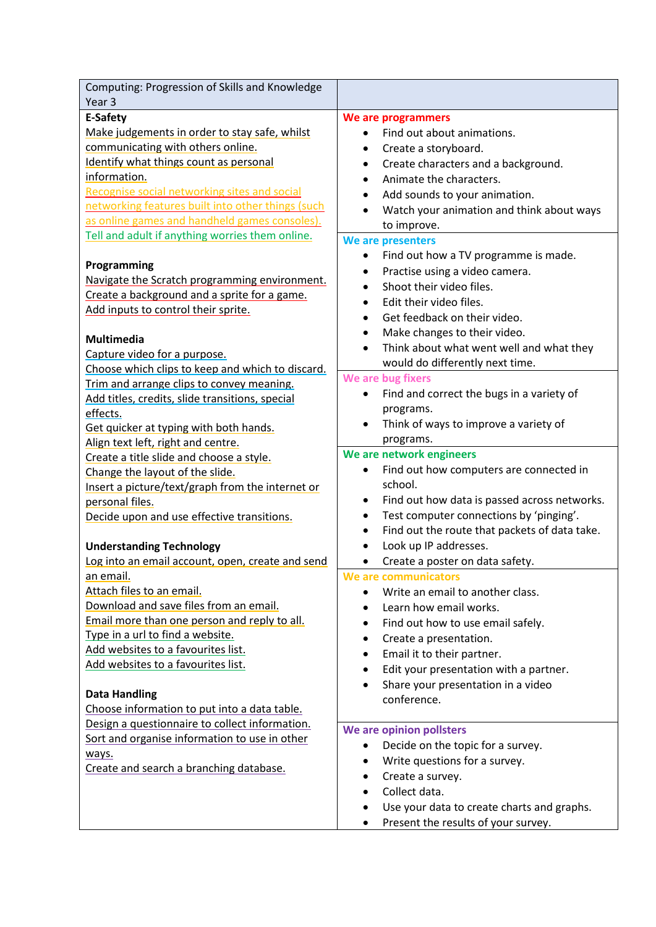| Computing: Progression of Skills and Knowledge<br>Year <sub>3</sub>         |                                                        |
|-----------------------------------------------------------------------------|--------------------------------------------------------|
| E-Safety                                                                    | We are programmers                                     |
| Make judgements in order to stay safe, whilst                               | Find out about animations.                             |
| communicating with others online.                                           | Create a storyboard.<br>٠                              |
| Identify what things count as personal                                      | Create characters and a background.<br>$\bullet$       |
| information.                                                                | Animate the characters.                                |
| Recognise social networking sites and social                                | Add sounds to your animation.<br>٠                     |
| networking features built into other things (such                           | Watch your animation and think about ways              |
| as online games and handheld games consoles).                               | to improve.                                            |
| Tell and adult if anything worries them online.                             | We are presenters                                      |
|                                                                             | Find out how a TV programme is made.<br>$\bullet$      |
| Programming                                                                 | Practise using a video camera.                         |
| Navigate the Scratch programming environment.                               | Shoot their video files.                               |
| Create a background and a sprite for a game.                                | Edit their video files.<br>$\bullet$                   |
| Add inputs to control their sprite.                                         | Get feedback on their video.<br>$\bullet$              |
|                                                                             | Make changes to their video.<br>٠                      |
| <b>Multimedia</b>                                                           | Think about what went well and what they               |
| Capture video for a purpose.                                                | would do differently next time.                        |
| Choose which clips to keep and which to discard.                            | We are bug fixers                                      |
| Trim and arrange clips to convey meaning.                                   | Find and correct the bugs in a variety of<br>$\bullet$ |
| Add titles, credits, slide transitions, special                             | programs.                                              |
| effects.                                                                    | Think of ways to improve a variety of                  |
| Get quicker at typing with both hands.                                      | programs.                                              |
| Align text left, right and centre.                                          | We are network engineers                               |
| Create a title slide and choose a style.<br>Change the layout of the slide. | Find out how computers are connected in                |
| Insert a picture/text/graph from the internet or                            | school.                                                |
| personal files.                                                             | Find out how data is passed across networks.<br>٠      |
| Decide upon and use effective transitions.                                  | Test computer connections by 'pinging'.<br>٠           |
|                                                                             | Find out the route that packets of data take.<br>٠     |
| <b>Understanding Technology</b>                                             | Look up IP addresses.<br>$\bullet$                     |
| Log into an email account, open, create and send                            | Create a poster on data safety.                        |
| an email.                                                                   | We are communicators                                   |
| Attach files to an email.                                                   | Write an email to another class.                       |
| Download and save files from an email.                                      | Learn how email works.                                 |
| Email more than one person and reply to all.                                | Find out how to use email safely.                      |
| Type in a url to find a website.                                            | Create a presentation.<br>$\bullet$                    |
| Add websites to a favourites list.                                          | Email it to their partner.<br>٠                        |
| Add websites to a favourites list.                                          | Edit your presentation with a partner.<br>٠            |
|                                                                             | Share your presentation in a video<br>$\bullet$        |
| <b>Data Handling</b>                                                        | conference.                                            |
| Choose information to put into a data table.                                |                                                        |
| Design a questionnaire to collect information.                              | We are opinion pollsters                               |
| Sort and organise information to use in other                               | Decide on the topic for a survey.<br>$\bullet$         |
| ways.                                                                       | Write questions for a survey.<br>٠                     |
| Create and search a branching database.                                     | Create a survey.                                       |
|                                                                             | Collect data.                                          |
|                                                                             | Use your data to create charts and graphs.             |
|                                                                             | Present the results of your survey.<br>٠               |
|                                                                             |                                                        |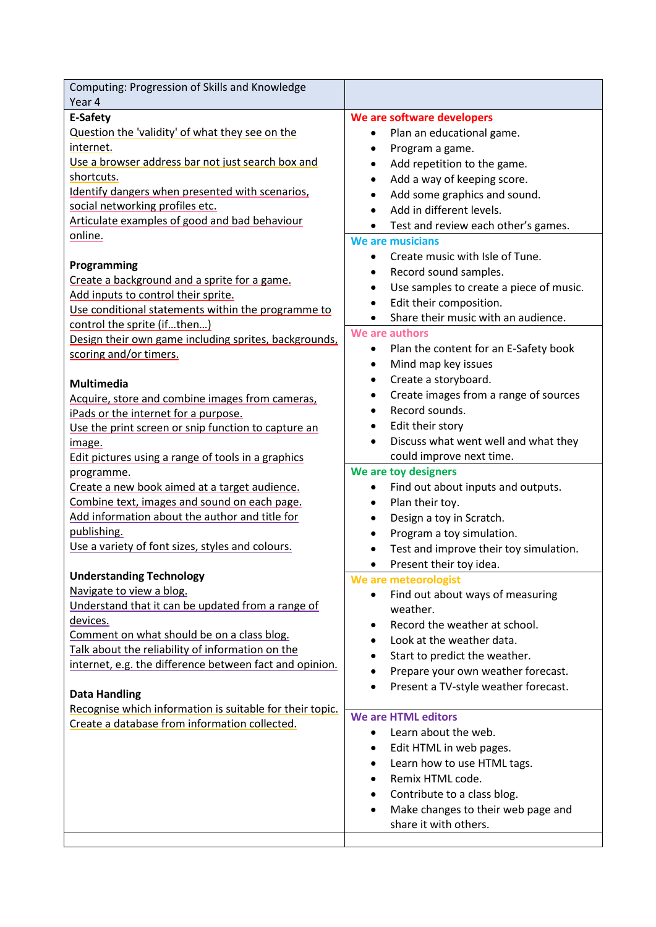| Computing: Progression of Skills and Knowledge                                                                                                                                                                                                                                                                                                                                                                      |                                                                                                                                                                                                                                                                                                                                                  |
|---------------------------------------------------------------------------------------------------------------------------------------------------------------------------------------------------------------------------------------------------------------------------------------------------------------------------------------------------------------------------------------------------------------------|--------------------------------------------------------------------------------------------------------------------------------------------------------------------------------------------------------------------------------------------------------------------------------------------------------------------------------------------------|
| Year 4<br>E-Safety<br>Question the 'validity' of what they see on the<br>internet.<br>Use a browser address bar not just search box and<br>shortcuts.<br>Identify dangers when presented with scenarios,<br>social networking profiles etc.<br>Articulate examples of good and bad behaviour<br>online.<br>Programming                                                                                              | We are software developers<br>Plan an educational game.<br>٠<br>Program a game.<br>Add repetition to the game.<br>Add a way of keeping score.<br>Add some graphics and sound.<br>Add in different levels.<br>Test and review each other's games.<br>٠<br>We are musicians<br>Create music with Isle of Tune.<br>Record sound samples.            |
| Create a background and a sprite for a game.<br>Add inputs to control their sprite.<br>Use conditional statements within the programme to<br>control the sprite (ifthen)<br>Design their own game including sprites, backgrounds,<br>scoring and/or timers.                                                                                                                                                         | Use samples to create a piece of music.<br>$\bullet$<br>Edit their composition.<br>$\bullet$<br>Share their music with an audience.<br>We are authors<br>Plan the content for an E-Safety book<br>٠<br>Mind map key issues                                                                                                                       |
| <b>Multimedia</b><br>Acquire, store and combine images from cameras,<br>iPads or the internet for a purpose.<br>Use the print screen or snip function to capture an<br>image.<br>Edit pictures using a range of tools in a graphics<br>programme.<br>Create a new book aimed at a target audience.<br>Combine text, images and sound on each page.<br>Add information about the author and title for<br>publishing. | Create a storyboard.<br>Create images from a range of sources<br>Record sounds.<br>Edit their story<br>٠<br>Discuss what went well and what they<br>could improve next time.<br>We are toy designers<br>Find out about inputs and outputs.<br>٠<br>Plan their toy.<br>Design a toy in Scratch.<br>$\bullet$<br>Program a toy simulation.         |
| Use a variety of font sizes, styles and colours.<br><b>Understanding Technology</b><br>Navigate to view a blog.<br>Understand that it can be updated from a range of<br>devices.<br>Comment on what should be on a class blog.<br>Talk about the reliability of information on the<br>internet, e.g. the difference between fact and opinion.<br><b>Data Handling</b>                                               | Test and improve their toy simulation.<br>Present their toy idea.<br>$\bullet$<br>We are meteorologist<br>Find out about ways of measuring<br>weather.<br>Record the weather at school.<br>Look at the weather data.<br>Start to predict the weather.<br>$\bullet$<br>Prepare your own weather forecast.<br>Present a TV-style weather forecast. |
| Recognise which information is suitable for their topic.<br>Create a database from information collected.                                                                                                                                                                                                                                                                                                           | We are HTML editors<br>Learn about the web.<br>$\bullet$<br>Edit HTML in web pages.<br>Learn how to use HTML tags.<br>Remix HTML code.<br>Contribute to a class blog.<br>Make changes to their web page and<br>$\bullet$<br>share it with others.                                                                                                |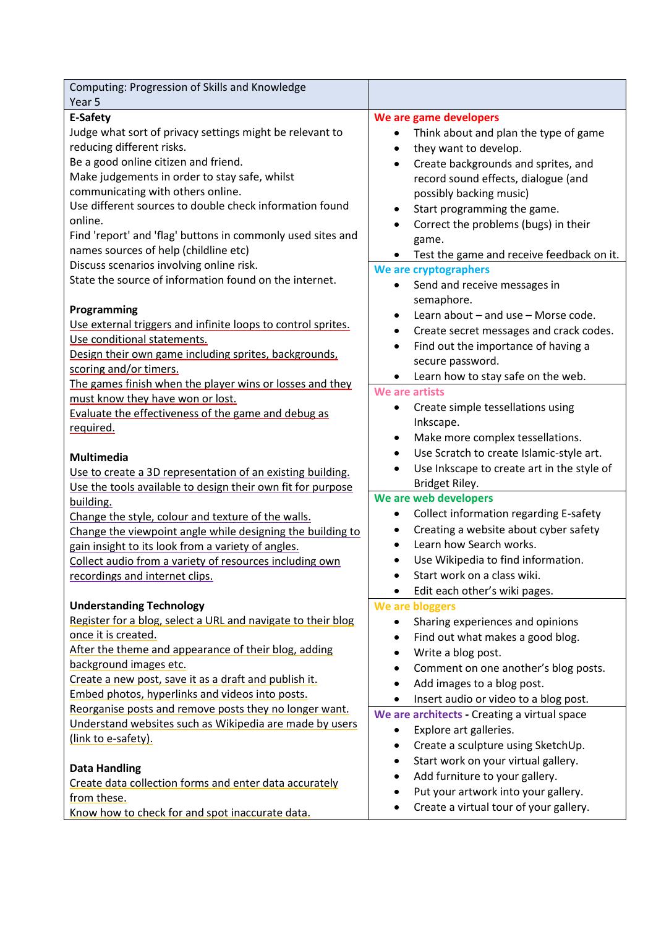| Computing: Progression of Skills and Knowledge                 |                                                         |
|----------------------------------------------------------------|---------------------------------------------------------|
| Year 5                                                         |                                                         |
| E-Safety                                                       | We are game developers                                  |
| Judge what sort of privacy settings might be relevant to       | Think about and plan the type of game<br>$\bullet$      |
| reducing different risks.                                      | they want to develop.                                   |
| Be a good online citizen and friend.                           | Create backgrounds and sprites, and                     |
| Make judgements in order to stay safe, whilst                  | record sound effects, dialogue (and                     |
| communicating with others online.                              | possibly backing music)                                 |
| Use different sources to double check information found        | Start programming the game.                             |
| online.                                                        | Correct the problems (bugs) in their                    |
| Find 'report' and 'flag' buttons in commonly used sites and    | game.                                                   |
| names sources of help (childline etc)                          | Test the game and receive feedback on it.               |
| Discuss scenarios involving online risk.                       | We are cryptographers                                   |
| State the source of information found on the internet.         | Send and receive messages in                            |
|                                                                | semaphore.                                              |
| Programming                                                    | Learn about - and use - Morse code.<br>$\bullet$        |
| Use external triggers and infinite loops to control sprites.   | Create secret messages and crack codes.                 |
| Use conditional statements.                                    | Find out the importance of having a                     |
| Design their own game including sprites, backgrounds,          | secure password.                                        |
| scoring and/or timers.                                         | Learn how to stay safe on the web.                      |
| The games finish when the player wins or losses and they       | We are artists                                          |
| must know they have won or lost.                               | $\bullet$                                               |
| Evaluate the effectiveness of the game and debug as            | Create simple tessellations using<br>Inkscape.          |
| required.                                                      |                                                         |
|                                                                | Make more complex tessellations.<br>$\bullet$           |
| <b>Multimedia</b>                                              | Use Scratch to create Islamic-style art.<br>$\bullet$   |
| Use to create a 3D representation of an existing building.     | Use Inkscape to create art in the style of<br>$\bullet$ |
| Use the tools available to design their own fit for purpose    | Bridget Riley.<br>We are web developers                 |
| building.                                                      |                                                         |
| Change the style, colour and texture of the walls.             | Collect information regarding E-safety<br>$\bullet$     |
| Change the viewpoint angle while designing the building to     | Creating a website about cyber safety                   |
| gain insight to its look from a variety of angles.             | Learn how Search works.<br>$\bullet$                    |
| Collect audio from a variety of resources including own        | Use Wikipedia to find information.                      |
| recordings and internet clips.                                 | Start work on a class wiki.                             |
|                                                                | Edit each other's wiki pages.                           |
| <b>Understanding Technology</b>                                | We are bloggers                                         |
| Register for a blog, select a URL and navigate to their blog   | Sharing experiences and opinions                        |
| once it is created.                                            | Find out what makes a good blog.                        |
| After the theme and appearance of their blog, adding           | Write a blog post.<br>$\bullet$                         |
| background images etc.                                         | Comment on one another's blog posts.                    |
| Create a new post, save it as a draft and publish it.          | Add images to a blog post.                              |
| Embed photos, hyperlinks and videos into posts.                | Insert audio or video to a blog post.<br>$\bullet$      |
| Reorganise posts and remove posts they no longer want.         | We are architects - Creating a virtual space            |
| Understand websites such as Wikipedia are made by users        | Explore art galleries.                                  |
| (link to e-safety).                                            | Create a sculpture using SketchUp.<br>$\bullet$         |
|                                                                | Start work on your virtual gallery.                     |
| <b>Data Handling</b>                                           | Add furniture to your gallery.                          |
| Create data collection forms and enter data accurately         | Put your artwork into your gallery.<br>$\bullet$        |
| from these.<br>Know how to check for and spot inaccurate data. | Create a virtual tour of your gallery.                  |
|                                                                |                                                         |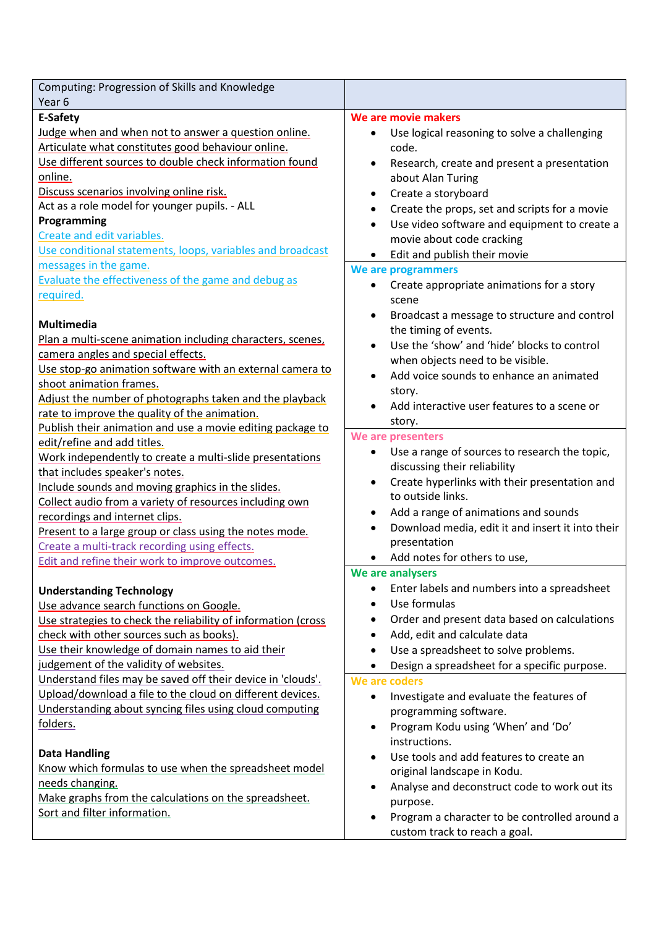| Computing: Progression of Skills and Knowledge                |                                                               |
|---------------------------------------------------------------|---------------------------------------------------------------|
| Year <sub>6</sub>                                             |                                                               |
| E-Safety                                                      | We are movie makers                                           |
| Judge when and when not to answer a question online.          | Use logical reasoning to solve a challenging<br>$\bullet$     |
| Articulate what constitutes good behaviour online.            | code.                                                         |
| Use different sources to double check information found       | Research, create and present a presentation<br>$\bullet$      |
| online.                                                       | about Alan Turing                                             |
| Discuss scenarios involving online risk.                      | Create a storyboard<br>٠                                      |
| Act as a role model for younger pupils. - ALL                 | Create the props, set and scripts for a movie<br>٠            |
| Programming                                                   | Use video software and equipment to create a<br>$\bullet$     |
| Create and edit variables.                                    | movie about code cracking                                     |
| Use conditional statements, loops, variables and broadcast    | Edit and publish their movie<br>٠                             |
| messages in the game.                                         | We are programmers                                            |
| Evaluate the effectiveness of the game and debug as           | Create appropriate animations for a story                     |
| required.                                                     | scene                                                         |
|                                                               | Broadcast a message to structure and control<br>$\bullet$     |
| Multimedia                                                    | the timing of events.                                         |
| Plan a multi-scene animation including characters, scenes,    | Use the 'show' and 'hide' blocks to control                   |
| camera angles and special effects.                            | when objects need to be visible.                              |
| Use stop-go animation software with an external camera to     | Add voice sounds to enhance an animated                       |
| shoot animation frames.                                       |                                                               |
| Adjust the number of photographs taken and the playback       | story.<br>Add interactive user features to a scene or         |
| rate to improve the quality of the animation.                 |                                                               |
| Publish their animation and use a movie editing package to    | story.                                                        |
| edit/refine and add titles.                                   | We are presenters                                             |
| Work independently to create a multi-slide presentations      | Use a range of sources to research the topic,                 |
| that includes speaker's notes.                                | discussing their reliability                                  |
| Include sounds and moving graphics in the slides.             | Create hyperlinks with their presentation and<br>$\bullet$    |
| Collect audio from a variety of resources including own       | to outside links.                                             |
| recordings and internet clips.                                | Add a range of animations and sounds<br>٠                     |
| Present to a large group or class using the notes mode.       | Download media, edit it and insert it into their<br>$\bullet$ |
| Create a multi-track recording using effects.                 | presentation                                                  |
| Edit and refine their work to improve outcomes.               | Add notes for others to use,                                  |
|                                                               | We are analysers                                              |
| <b>Understanding Technology</b>                               | Enter labels and numbers into a spreadsheet<br>$\bullet$      |
| Use advance search functions on Google.                       | Use formulas                                                  |
| Use strategies to check the reliability of information (cross | Order and present data based on calculations<br>٠             |
| check with other sources such as books).                      | Add, edit and calculate data<br>٠                             |
| Use their knowledge of domain names to aid their              | Use a spreadsheet to solve problems.                          |
| judgement of the validity of websites.                        | Design a spreadsheet for a specific purpose.<br>$\bullet$     |
| Understand files may be saved off their device in 'clouds'.   | We are coders                                                 |
| Upload/download a file to the cloud on different devices.     | Investigate and evaluate the features of<br>$\bullet$         |
| Understanding about syncing files using cloud computing       | programming software.                                         |
| folders.                                                      | Program Kodu using 'When' and 'Do'<br>$\bullet$               |
|                                                               | instructions.                                                 |
| <b>Data Handling</b>                                          | Use tools and add features to create an                       |
| Know which formulas to use when the spreadsheet model         | original landscape in Kodu.                                   |
| needs changing.                                               | Analyse and deconstruct code to work out its                  |
| Make graphs from the calculations on the spreadsheet.         | purpose.                                                      |
| Sort and filter information.                                  | Program a character to be controlled around a<br>$\bullet$    |
|                                                               | custom track to reach a goal.                                 |